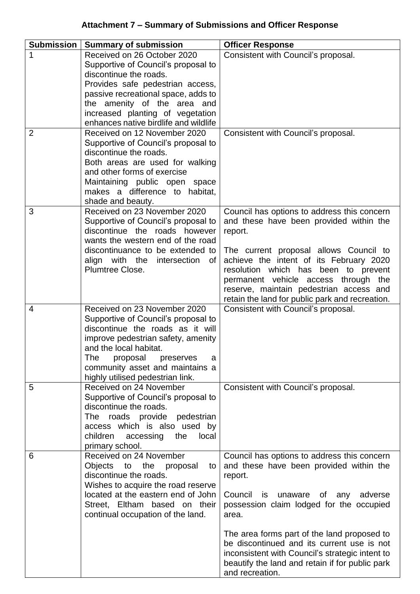| <b>Submission</b> | <b>Summary of submission</b>                                                                                                                                                                                                                                                        | <b>Officer Response</b>                                                                                                                                                                                                                                                                                                                                                                                                    |
|-------------------|-------------------------------------------------------------------------------------------------------------------------------------------------------------------------------------------------------------------------------------------------------------------------------------|----------------------------------------------------------------------------------------------------------------------------------------------------------------------------------------------------------------------------------------------------------------------------------------------------------------------------------------------------------------------------------------------------------------------------|
| 1                 | Received on 26 October 2020                                                                                                                                                                                                                                                         | Consistent with Council's proposal.                                                                                                                                                                                                                                                                                                                                                                                        |
|                   | Supportive of Council's proposal to<br>discontinue the roads.<br>Provides safe pedestrian access,<br>passive recreational space, adds to<br>the amenity of the area and<br>increased planting of vegetation                                                                         |                                                                                                                                                                                                                                                                                                                                                                                                                            |
| $\overline{2}$    | enhances native birdlife and wildlife<br>Received on 12 November 2020                                                                                                                                                                                                               |                                                                                                                                                                                                                                                                                                                                                                                                                            |
|                   | Supportive of Council's proposal to<br>discontinue the roads.<br>Both areas are used for walking<br>and other forms of exercise<br>Maintaining public open space<br>makes a difference to habitat,<br>shade and beauty.                                                             | Consistent with Council's proposal.                                                                                                                                                                                                                                                                                                                                                                                        |
| 3                 | Received on 23 November 2020<br>Supportive of Council's proposal to<br>discontinue the roads however<br>wants the western end of the road<br>discontinuance to be extended to<br>align with the intersection<br>0f<br>Plumtree Close.                                               | Council has options to address this concern<br>and these have been provided within the<br>report.<br>The current proposal allows Council to<br>achieve the intent of its February 2020<br>resolution which has been to prevent<br>permanent vehicle access through the<br>reserve, maintain pedestrian access and<br>retain the land for public park and recreation.                                                       |
| 4                 | Received on 23 November 2020<br>Supportive of Council's proposal to<br>discontinue the roads as it will<br>improve pedestrian safety, amenity<br>and the local habitat.<br>The<br>proposal<br>preserves<br>a<br>community asset and maintains a<br>highly utilised pedestrian link. | Consistent with Council's proposal.                                                                                                                                                                                                                                                                                                                                                                                        |
| 5                 | Received on 24 November<br>Supportive of Council's proposal to<br>discontinue the roads.<br>pedestrian<br>The roads provide<br>access which is also used by<br>children<br>accessing<br>the<br>local<br>primary school.                                                             | Consistent with Council's proposal.                                                                                                                                                                                                                                                                                                                                                                                        |
| 6                 | Received on 24 November<br>Objects to the proposal<br>to<br>discontinue the roads.<br>Wishes to acquire the road reserve<br>located at the eastern end of John<br>Street, Eltham based on their<br>continual occupation of the land.                                                | Council has options to address this concern<br>and these have been provided within the<br>report.<br>Council is<br>unaware<br>of any<br>adverse<br>possession claim lodged for the occupied<br>area.<br>The area forms part of the land proposed to<br>be discontinued and its current use is not<br>inconsistent with Council's strategic intent to<br>beautify the land and retain if for public park<br>and recreation. |